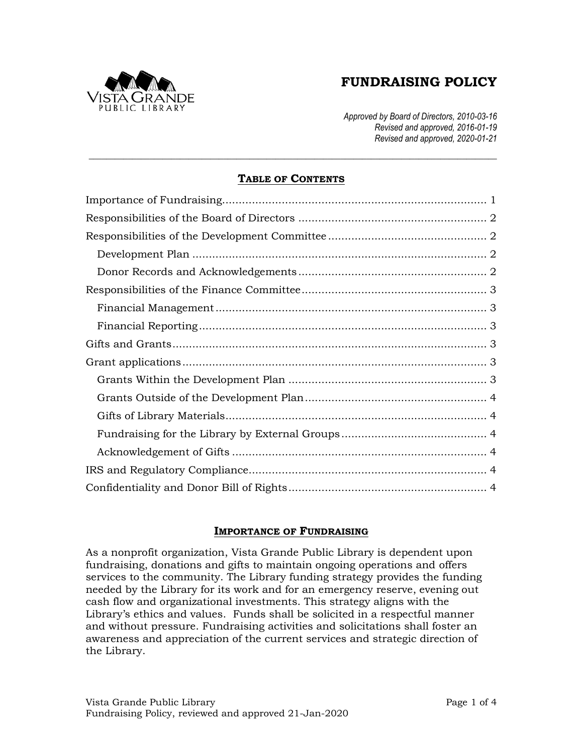

# **FUNDRAISING POLICY**

*Approved by Board of Directors, 2010-03-16 Revised and approved, 2016-01-19 Revised and approved, 2020-01-21*

## **TABLE OF CONTENTS**

*\_\_\_\_\_\_\_\_\_\_\_\_\_\_\_\_\_\_\_\_\_\_\_\_\_\_\_\_\_\_\_\_\_\_\_\_\_\_\_\_\_\_\_\_\_\_\_\_\_\_\_\_\_\_\_\_\_\_\_\_\_\_\_\_\_\_\_\_\_\_\_\_\_\_\_\_\_\_\_\_\_\_\_\_\_\_\_\_\_\_\_\_\_\_*

#### **IMPORTANCE OF FUNDRAISING**

<span id="page-0-0"></span>As a nonprofit organization, Vista Grande Public Library is dependent upon fundraising, donations and gifts to maintain ongoing operations and offers services to the community. The Library funding strategy provides the funding needed by the Library for its work and for an emergency reserve, evening out cash flow and organizational investments. This strategy aligns with the Library's ethics and values. Funds shall be solicited in a respectful manner and without pressure. Fundraising activities and solicitations shall foster an awareness and appreciation of the current services and strategic direction of the Library.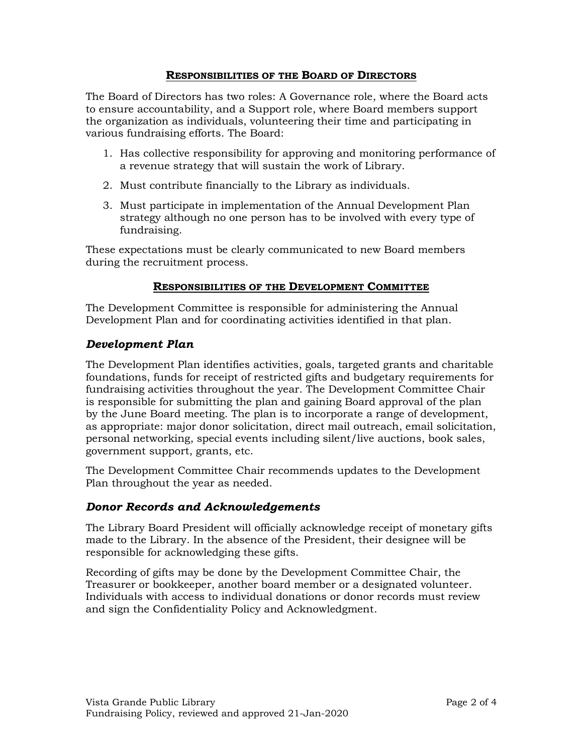#### **RESPONSIBILITIES OF THE BOARD OF DIRECTORS**

<span id="page-1-0"></span>The Board of Directors has two roles: A Governance role, where the Board acts to ensure accountability, and a Support role, where Board members support the organization as individuals, volunteering their time and participating in various fundraising efforts. The Board:

- 1. Has collective responsibility for approving and monitoring performance of a revenue strategy that will sustain the work of Library.
- 2. Must contribute financially to the Library as individuals.
- 3. Must participate in implementation of the Annual Development Plan strategy although no one person has to be involved with every type of fundraising.

These expectations must be clearly communicated to new Board members during the recruitment process.

### **RESPONSIBILITIES OF THE DEVELOPMENT COMMITTEE**

<span id="page-1-1"></span>The Development Committee is responsible for administering the Annual Development Plan and for coordinating activities identified in that plan.

### <span id="page-1-2"></span>*Development Plan*

The Development Plan identifies activities, goals, targeted grants and charitable foundations, funds for receipt of restricted gifts and budgetary requirements for fundraising activities throughout the year. The Development Committee Chair is responsible for submitting the plan and gaining Board approval of the plan by the June Board meeting. The plan is to incorporate a range of development, as appropriate: major donor solicitation, direct mail outreach, email solicitation, personal networking, special events including silent/live auctions, book sales, government support, grants, etc.

The Development Committee Chair recommends updates to the Development Plan throughout the year as needed.

### <span id="page-1-3"></span>*Donor Records and Acknowledgements*

The Library Board President will officially acknowledge receipt of monetary gifts made to the Library. In the absence of the President, their designee will be responsible for acknowledging these gifts.

Recording of gifts may be done by the Development Committee Chair, the Treasurer or bookkeeper, another board member or a designated volunteer. Individuals with access to individual donations or donor records must review and sign the Confidentiality Policy and Acknowledgment.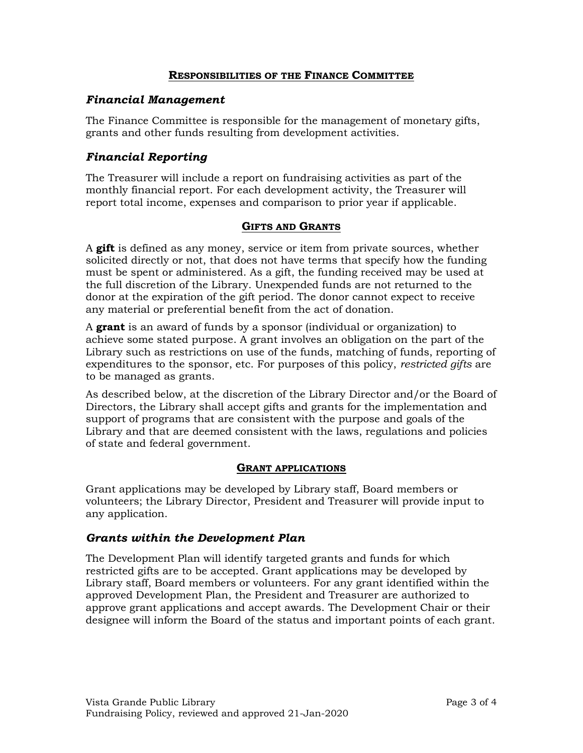#### **RESPONSIBILITIES OF THE FINANCE COMMITTEE**

#### <span id="page-2-1"></span><span id="page-2-0"></span>*Financial Management*

The Finance Committee is responsible for the management of monetary gifts, grants and other funds resulting from development activities.

### <span id="page-2-2"></span>*Financial Reporting*

The Treasurer will include a report on fundraising activities as part of the monthly financial report. For each development activity, the Treasurer will report total income, expenses and comparison to prior year if applicable.

#### **GIFTS AND GRANTS**

<span id="page-2-3"></span>A **gift** is defined as any money, service or item from private sources, whether solicited directly or not, that does not have terms that specify how the funding must be spent or administered. As a gift, the funding received may be used at the full discretion of the Library. Unexpended funds are not returned to the donor at the expiration of the gift period. The donor cannot expect to receive any material or preferential benefit from the act of donation.

A **grant** is an award of funds by a sponsor (individual or organization) to achieve some stated purpose. A grant involves an obligation on the part of the Library such as restrictions on use of the funds, matching of funds, reporting of expenditures to the sponsor, etc. For purposes of this policy, *restricted gifts* are to be managed as grants.

As described below, at the discretion of the Library Director and/or the Board of Directors, the Library shall accept gifts and grants for the implementation and support of programs that are consistent with the purpose and goals of the Library and that are deemed consistent with the laws, regulations and policies of state and federal government.

#### **GRANT APPLICATIONS**

<span id="page-2-4"></span>Grant applications may be developed by Library staff, Board members or volunteers; the Library Director, President and Treasurer will provide input to any application.

#### <span id="page-2-5"></span>*Grants within the Development Plan*

The Development Plan will identify targeted grants and funds for which restricted gifts are to be accepted. Grant applications may be developed by Library staff, Board members or volunteers. For any grant identified within the approved Development Plan, the President and Treasurer are authorized to approve grant applications and accept awards. The Development Chair or their designee will inform the Board of the status and important points of each grant.